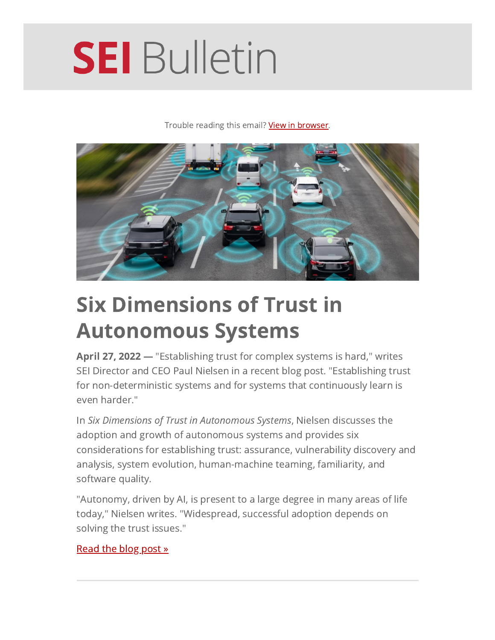# **SEI** Bulletin

Trouble reading this email? View in [browser](https://mailchi.mp/sei.cmu.edu/april-27-2022-290950?e=15b96899fb&utm_source=SEI-Bulletin&utm_medium=email&utm_campaign=20220427&utm_content=header).



## Six Dimensions of Trust in Autonomous Systems

April 27, 2022 — "Establishing trust for complex systems is hard," writes SEI Director and CEO Paul Nielsen in a recent blog post. "Establishing trust for non-deterministic systems and for systems that continuously learn is even harder."

In Six Dimensions of Trust in Autonomous Systems, Nielsen discusses the adoption and growth of autonomous systems and provides six considerations for establishing trust: assurance, vulnerability discovery and analysis, system evolution, human-machine teaming, familiarity, and software quality.

"Autonomy, driven by AI, is present to a large degree in many areas of life today," Nielsen writes. "Widespread, successful adoption depends on solving the trust issues."

#### [Read](https://insights.sei.cmu.edu/blog/six-dimensions-of-trust-in-autonomous-systems?utm_source=SEI-Bulletin&utm_medium=email&utm_campaign=20220427&utm_content=lead) the blog post »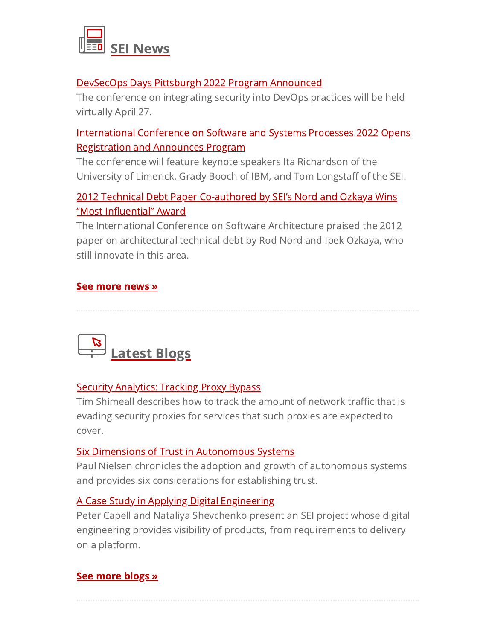

#### DevSecOps Days Pittsburgh 2022 Program [Announced](https://www.sei.cmu.edu/news-events/news/article.cfm?assetId=877135&utm_source=SEI-Bulletin&utm_medium=email&utm_campaign=20220427&utm_content=news)

The conference on integrating security into DevOps practices will be held virtually April 27.

#### [International](https://www.sei.cmu.edu/news-events/news/article.cfm?assetId=876990&utm_source=SEI-Bulletin&utm_medium=email&utm_campaign=20220427&utm_content=news) Conference on Software and Systems Processes 2022 Opens Registration and Announces Program

The conference will feature keynote speakers Ita Richardson of the University of Limerick, Grady Booch of IBM, and Tom Longstaff of the SEI.

#### 2012 Technical Debt Paper [Co-authored](https://sei.cmu.edu/news-events/news/article.cfm?assetId=876493&utm_source=SEI-Bulletin&utm_medium=email&utm_campaign=20220427&utm_content=news) by SEI's Nord and Ozkaya Wins "Most Influential" Award

The International Conference on Software Architecture praised the 2012 paper on architectural technical debt by Rod Nord and Ipek Ozkaya, who still innovate in this area.

#### See [more](https://www.sei.cmu.edu/news-events/news?utm_source=SEI-Bulletin&utm_medium=email&utm_campaign=20220427&utm_content=news) news »



#### Security [Analytics:](https://insights.sei.cmu.edu/blog/security-analytics-tracking-proxy-bypass?utm_source=SEI-Bulletin&utm_medium=email&utm_campaign=20220427&utm_content=blogs) Tracking Proxy Bypass

Tim Shimeall describes how to track the amount of network traffic that is evading security proxies for services that such proxies are expected to cover.

#### Six Dimensions of Trust in [Autonomous](https://insights.sei.cmu.edu/blog/six-dimensions-of-trust-in-autonomous-systems?utm_source=SEI-Bulletin&utm_medium=email&utm_campaign=20220427&utm_content=blogs) Systems

Paul Nielsen chronicles the adoption and growth of autonomous systems and provides six considerations for establishing trust.

#### A Case Study in Applying Digital [Engineering](https://insights.sei.cmu.edu/blog/a-case-study-in-applying-digital-engineering?utm_source=SEI-Bulletin&utm_medium=email&utm_campaign=20220427&utm_content=blogs)

Peter Capell and Nataliya Shevchenko present an SEI project whose digital engineering provides visibility of products, from requirements to delivery on a platform.

#### See [more](https://insights.sei.cmu.edu/?utm_source=SEI-Bulletin&utm_medium=email&utm_campaign=20220427&utm_content=blogs) blogs »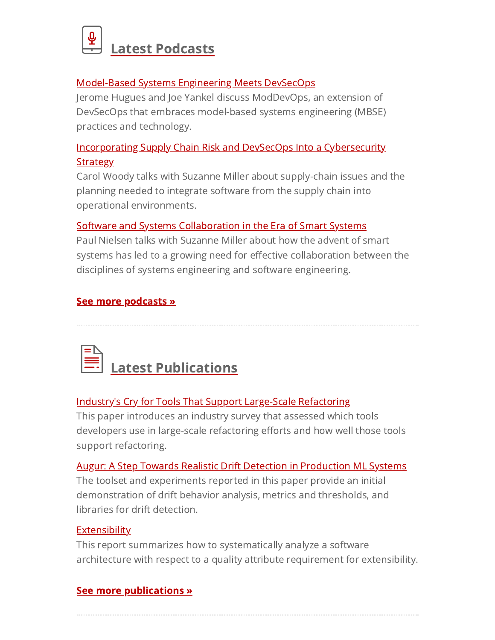

#### [Model-Based](https://resources.sei.cmu.edu/library/asset-view.cfm?assetid=877043&utm_source=SEI-Bulletin&utm_medium=email&utm_campaign=20220427&utm_content=podcasts) Systems Engineering Meets DevSecOps

Jerome Hugues and Joe Yankel discuss ModDevOps, an extension of DevSecOps that embraces model-based systems engineering (MBSE) practices and technology.

#### Incorporating Supply Chain Risk and DevSecOps Into a [Cybersecurity](https://resources.sei.cmu.edu/library/asset-view.cfm?assetid=876668&utm_source=SEI-Bulletin&utm_medium=email&utm_campaign=20220427&utm_content=podcasts) **Strategy**

Carol Woody talks with Suzanne Miller about supply-chain issues and the planning needed to integrate software from the supply chain into operational environments.

#### Software and Systems [Collaboration](https://resources.sei.cmu.edu/library/asset-view.cfm?assetid=875495&utm_source=SEI-Bulletin&utm_medium=email&utm_campaign=20220427&utm_content=podcasts) in the Era of Smart Systems

Paul Nielsen talks with Suzanne Miller about how the advent of smart systems has led to a growing need for effective collaboration between the disciplines of systems engineering and software engineering.

#### See more [podcasts](https://sei.cmu.edu/publications/podcasts?utm_source=SEI-Bulletin&utm_medium=email&utm_campaign=20220427&utm_content=podcasts) »

Latest [Publications](https://resources.sei.cmu.edu/library?utm_source=SEI-Bulletin&utm_medium=email&utm_campaign=20220427&utm_content=publications)

#### Industry's Cry for Tools That Support [Large-Scale](https://resources.sei.cmu.edu/library/asset-view.cfm?assetid=877240&utm_source=SEI-Bulletin&utm_medium=email&utm_campaign=20220427&utm_content=publications) Refactoring

This paper introduces an industry survey that assessed which tools developers use in large-scale refactoring efforts and how well those tools support refactoring.

#### Augur: A Step Towards Realistic Drift Detection in [Production](https://resources.sei.cmu.edu/library/asset-view.cfm?assetid=877192&utm_source=SEI-Bulletin&utm_medium=email&utm_campaign=20220427&utm_content=publications) ML Systems

The toolset and experiments reported in this paper provide an initial demonstration of drift behavior analysis, metrics and thresholds, and libraries for drift detection.

#### **[Extensibility](https://resources.sei.cmu.edu/library/asset-view.cfm?assetid=876971&utm_source=SEI-Bulletin&utm_medium=email&utm_campaign=20220427&utm_content=publications)**

This report summarizes how to systematically analyze a software architecture with respect to a quality attribute requirement for extensibility.

#### See more [publications](https://resources.sei.cmu.edu/library?utm_source=SEI-Bulletin&utm_medium=email&utm_campaign=20220427&utm_content=publications) »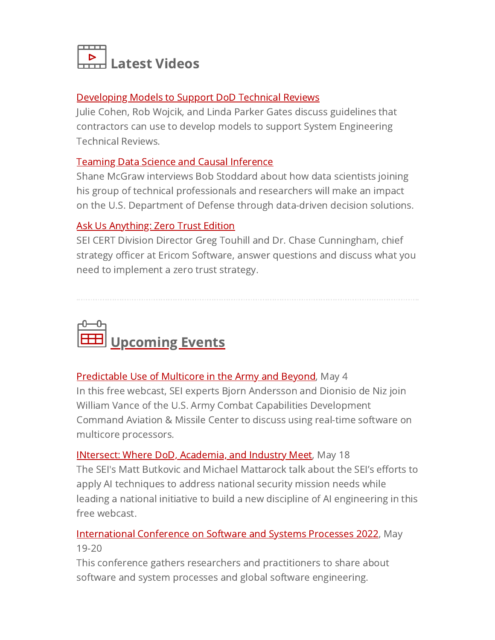

#### [Developing](http://resources.sei.cmu.edu/library/asset-view.cfm?assetid=883743&utm_source=SEI-Bulletin&utm_medium=email&utm_campaign=20220427&utm_content=videos) Models to Support DoD Technical Reviews

Julie Cohen, Rob Wojcik, and Linda Parker Gates discuss guidelines that contractors can use to develop models to support System Engineering Technical Reviews.

#### Teaming Data Science and Causal [Inference](https://resources.sei.cmu.edu/library/asset-view.cfm?assetid=877025&utm_source=SEI-Bulletin&utm_medium=email&utm_campaign=20220427&utm_content=videos)

Shane McGraw interviews Bob Stoddard about how data scientists joining his group of technical professionals and researchers will make an impact on the U.S. Department of Defense through data-driven decision solutions.

#### Ask Us [Anything:](https://resources.sei.cmu.edu/library/asset-view.cfm?assetid=875840&utm_source=SEI-Bulletin&utm_medium=email&utm_campaign=20220427&utm_content=videos) Zero Trust Edition

SEI CERT Division Director Greg Touhill and Dr. Chase Cunningham, chief strategy officer at Ericom Software, answer questions and discuss what you need to implement a zero trust strategy.



#### [Predictable](https://www.sei.cmu.edu/news-events/events/Event.cfm?customel_datapageid_5541=343542&utm_source=SEI-Bulletin&utm_medium=email&utm_campaign=20220427&utm_content=events) Use of Multicore in the Army and Beyond, May 4

In this free webcast, SEI experts Bjorn Andersson and Dionisio de Niz join William Vance of the U.S. Army Combat Capabilities Development Command Aviation & Missile Center to discuss using real-time software on multicore processors.

INtersect: Where DoD, [Academia,](https://www.sei.cmu.edu/news-events/events/Event.cfm?customel_datapageid_5541=343796&utm_source=SEI-Bulletin&utm_medium=email&utm_campaign=20220427&utm_content=events) and Industry Meet, May 18 The SEI's Matt Butkovic and Michael Mattarock talk about the SEI's efforts to apply AI techniques to address national security mission needs while leading a national initiative to build a new discipline of AI engineering in this free webcast.

#### **[International](https://resources.sei.cmu.edu/news-events/events/icssp?utm_source=SEI-Bulletin&utm_medium=email&utm_campaign=20220427&utm_content=events) Conference on Software and Systems Processes 2022**, May 19-20

This conference gathers researchers and practitioners to share about software and system processes and global software engineering.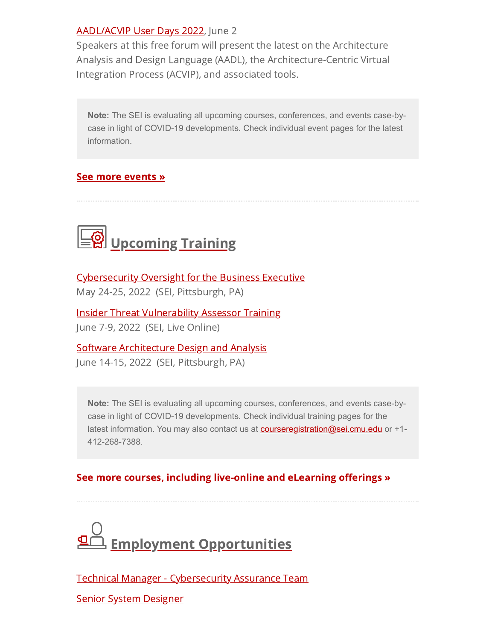#### [AADL/ACVIP](https://resources.sei.cmu.edu/news-events/events/aadl-acvip-user-days/index.cfm?utm_source=SEI-Bulletin&utm_medium=email&utm_campaign=20220427&utm_content=events) User Days 2022, June 2

Speakers at this free forum will present the latest on the Architecture Analysis and Design Language (AADL), the Architecture-Centric Virtual Integration Process (ACVIP), and associated tools.

**Note:** The SEI is evaluating all upcoming courses, conferences, and events case-bycase in light of COVID-19 developments. Check individual event pages for the latest information.

#### See more [events](https://sei.cmu.edu/news-events/events/index.cfm?utm_source=SEI-Bulletin&utm_medium=email&utm_campaign=20220427&utm_content=events) »



[Cybersecurity](https://sei.cmu.edu/education-outreach/courses/course.cfm?courseCode=P144&utm_source=SEI-Bulletin&utm_medium=email&utm_campaign=20220427&utm_content=training) Oversight for the Business Executive May 24-25, 2022 (SEI, Pittsburgh, PA)

Insider Threat [Vulnerability](https://sei.cmu.edu/education-outreach/courses/course.cfm?courseCode=P134&utm_source=SEI-Bulletin&utm_medium=email&utm_campaign=20220427&utm_content=training) Assessor Training June 7-9, 2022 (SEI, Live Online)

Software [Architecture](https://sei.cmu.edu/education-outreach/courses/course.cfm?courseCode=P34&utm_source=SEI-Bulletin&utm_medium=email&utm_campaign=20220427&utm_content=training) Design and Analysis

June 14-15, 2022 (SEI, Pittsburgh, PA)

**Note:** The SEI is evaluating all upcoming courses, conferences, and events case-bycase in light of COVID-19 developments. Check individual training pages for the latest information. You may also contact us at **[courseregistration@sei.cmu.edu](mailto:courseregistration@sei.cmu.edu)** or +1-412-268-7388.

#### See more courses, including [live-online](https://www.sei.cmu.edu/education-outreach/courses?utm_source=SEI-Bulletin&utm_medium=email&utm_campaign=20220427&utm_content=training) and eLearning offerings »



Technical Manager - [Cybersecurity](https://cmu.wd5.myworkdayjobs.com/en-US/SEI/job/Pittsburgh-PA/Technical-Manager---Cybersecurity-Assurance-Team_2017826-1) Assurance Team

Senior System [Designer](https://cmu.wd5.myworkdayjobs.com/en-US/SEI/job/Pittsburgh-PA/Senior-System-Designer_2017275)